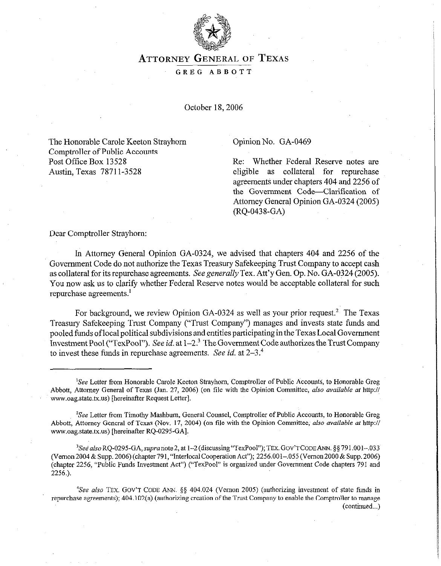

## **ATTORNEY GENERAL** OF **TEXAS**

GREG ABBOTT

October 18, 2006

The Honorable Carole Keeton Strayhorn Comptroller of Public Accounts Post Office Box 13528 Austin, Texas 78711-3528

## Opinion No. GA-0469

Re: Whether Federal Reserve notes are eligible as collateral for repurchase agreements under chapters 404 and 2256 of the Government Code-Clarification of Attorney General Opinion GA-0324 (2005)  $(RQ-0438-GA)$ 

Dear Comptroller Strayhorn:

In Attorney General Opinion GA-0324, we advised that chapters 404 and 2256 of the Government Code do not authorize the Texas Treasury Safekeeping Trust Company to accept cash as collateral for its repurchase agreements. See generally Tex. Att'y Gen. Op. No. GA-0324 (2005). You now ask us to clarify whether Federal Reserve notes would be acceptable collateral for such repurchase agreements.'

For background, we review Opinion GA-0324 as well as your prior request.<sup>2</sup> The Texas Treasury Safekeeping Trust Company ("Trust Company") manages and invests state funds and pooled funds of local political subdivisions and entities participating in the Texas Local Government Investment Pool ("TexPool"). See id. at  $1-2<sup>3</sup>$  The Government Code authorizes the Trust Company to invest these funds in repurchase agreements. See *id.* at 2-3."

<sup>3</sup>See also RQ-0295-GA, supra note 2, at 1-2 (discussing "TexPool"); TEX. GOV'T CODE ANN. §§ 791.001--.033 (Vernon2004 & Supp. 2006) (chapter791, "Interlocal CooperationAct"); 2256.001-.055 (Vernon2000 & Supp. 2006) (chapter 2256, "Public Funds Investment Act") ("TexPool" is organized under Government Code chapters 791 and *2256.).* 

<sup>4</sup>See also TEX. GOV'T CODE ANN. §§ 404.024 (Vernon 2005) (authorizing investment of state funds in repurchase agreements); 404.102(a) (authorizing creation of the Trust Company to enable the Comptroller to manage (continued...)

<sup>&</sup>lt;sup>1</sup>See Letter from Honorable Carole Keeton Strayhorn, Comptroller of Public Accounts, to Honorable Greg Abbott, Attorney General of Texas (Jan. 27, 2006) (on tile with the Opinion Committee, also *available at* http:// www.oag.state.tx.us) [hereinafter Request Letter].

<sup>&</sup>lt;sup>2</sup>See Letter from Timothy Mashburn, General Counsel, Comptroller of Public Accounts, to Honorable Greg Abbott, Attorney General of Texas (Nov. 17, 2004) (on file with *the* Opinion Committee, *also available at* http:// www.oag.state.tx.us) [hereinafter RQ-0295-GA].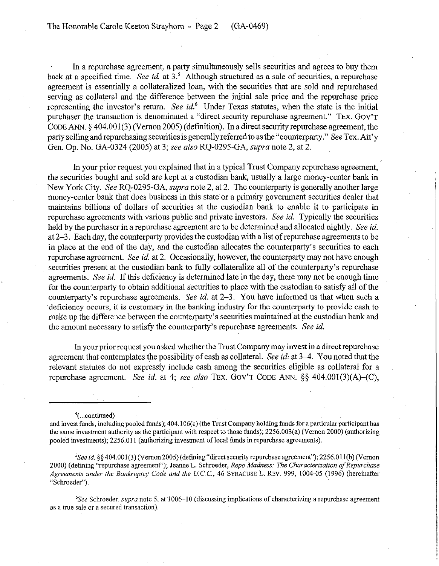The Honorable Carole Keeton Strayhom - Page 2 (GA-0469)

In a repurchase agreement, a party simultaneously sells securities and agrees to buy them back at a specified time. See id. at 3.' Although structured as a sale of securities, a repurchase agreement is essentially a collateralized loan, with the securities that are sold and repurchased serving as collateral and the difference between the initial sale price and the repurchase price representing the investor's return. See *id*.<sup>6</sup> Under Texas statutes, when the state is the initial purchaser the transaction is denominated a "direct security repurchase agreement." TEx. GOV'T CODE ANN. 5 404.001(3) (Vernon 2005) (definition). In a direct security repurchase agreement, the party selling and repurchasing securities is generally referred to as the "counterparty." See Tex. Att'y Gen. Op. No. GA-0324 (2005) at 3; see also RQ-0295-GA, *supra* note 2, at 2.

In your prior request you explained that in a typical Trust Company repurchase agreement, the securities bought and sold are kept at a custodian bank, usually a large money-center bank in New York City. See RQ-0295-GA, *supra* note 2, at 2. The counterparty is generally another large money-center bank that does business in this state or a primaty government securities dealer that maintains billions of dollars of securities at the custodian bank to enable it to participate in repurchase agreements with various public and private investors. See *id.* Typically the securities held by the purchaser in a repurchase agreement are to be determined and allocated nightly. See *id.*  at 2-3. Each day, the counterparty provides the custodian with a list of repurchase agreements to be in place at the end of the day, and the custodian allocates the counterparty's securities to each repurchase agreement. See *id* at 2. Occasionally, however, the counterparty may not have enough securities present at the custodian bank to fully collateralize all of the counterparty's repurchase agreements. See *id.* If this deficiency is determined late in the day, there may not be enough time for the counterparty to obtain additional securities to place with the custodian to satisfy all of the counterparty's repurchase agreements. See *id.* at 2-3. You have informed us that when such a deficiency occurs, it is customary in the banking industry for the counterparty to provide cash to make up the difference between the counterparty's securities maintained at the custodian bank and the amount necessary to satisfy the counterparty's repurchase agreements. See *id.* 

In your prior request you asked whether the Trust Company may invest in a direct repurchase agreement that contemplates the possibility of cash as collateral. See *id*: at 3-4. You noted that the relevant statutes do not expressly include cash among the securities eligible as collateral for a repurchase agreement. See *id.* at 4; see also TEx. GOV'T CODE ANN. \$5 404.001(3)(A)-(C),

'(...continued)

<sup>5</sup>See id. §§ 404.001(3) (Vernon 2005) (defining "direct security repurchase agreement"); 2256.011(b) (Vernon 2000) (defining "repurchase agreement"); Jeanne L. Schroeder, *Repo Madness: The Characterization of Repurchase Agreements under the Bankruptcy Code and the* U.C.C., 46 SYRACUSE L. REV. 999, 1004.05 (1996) (hereinafter "Schroeder").

 ${}^{6}$ See Schroeder, *supra* note 5, at 1006–10 (discussing implications of characterizing a repurchase agreement as a true sale or a secured transaction).

and invest funds, including pooled funds); 404.106(c) (the Trust Company holding funds for a particular participant has the same investment authority as the participant with respect to those funds); 2256.003(a) (Vernon 2000) (authorizing pooled investments); 2256.011 (authorizing investment of local funds in repurchase agreements).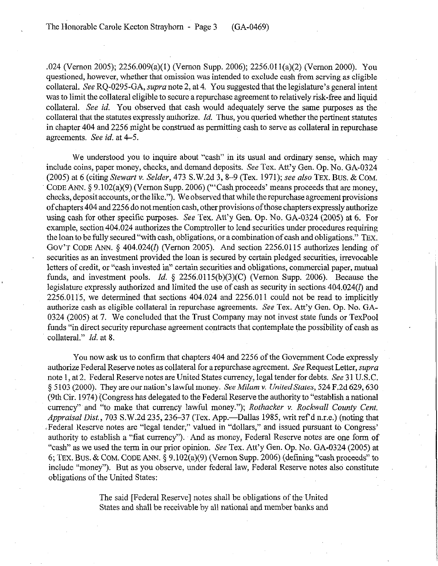.024 (Vernon 2005); 2256.009(a)(l) (vemon Supp. 2006); 2256.01 l(a)(2) (Vernon 2000). You questioned, however, whether that omission was intended to exclude cash from serving as eligible collateral. See RO-0295-GA, *supra* note 2, at 4. You suggested that the legislature's general intent was to limit the collateral eligible to secure a repurchase agreement to relatively risk-free and liquid collateral. See *id.* You observed that cash would adequately serve the same purposes as the collateral that the statutes expressly authorize. *Id.* Thus, you queried whether the pertinent statutes in chapter 404 and 2256 might be construed as permitting cash to serve as collateral in repurchase agreements. See *id.* at 4–5.

We understood you to inquire about "cash" in its usual and ordinary sense, which may include coins, paper money, checks, and demand deposits. See Tex. Att'y Gen. Op. No. GA-0324 (2005) at 6 (citing *Stewart v. Selder, 473* S.W.2d 3, 8-9 (Tex. 1971); see also **TEX.** Bus. & **COM. CODE** ANN. 5 9.102(a)(9) (vemon Supp. 2006) ("'Cash proceeds' means proceeds that are money, checks, deposit accounts, or the like."). We observed that while the repurchase agreement provisions of chapters 404 and 2256 do not mention cash, other provisions of those chapters expressly authorize using cash for other specific purposes. See Tex. Att'y Gen. Op. No. GA-0324 (2005) at 6. For example, section 404.024 authorizes the Comptroller to lend securities under procedures requiring the loan to be fully secured "with cash, obligations, or a combination of cash and obligations." TEX. **GOV'T CODE** ANN. 5 404.024(1) (Vernon 2005). And section 2256.0115 authorizes lending of securities as an investment provided the loan is secured by certain pledged securities, irrevocable letters of credit, or "cash invested in" certain securities and obligations, commercial paper, mutual funds, and investment pools. *Id.*  $\S$  2256.0115(b)(3)(C) (Vernon Supp. 2006). Because the legislature expressly authorized and limited the use of cash as security in sections 404.024(1) and  $2256.0115$ , we determined that sections  $404.024$  and  $2256.011$  could not be read to implicitly authorize cash as eligible collateral in repurchase agreements. See Tex. Att'y Gen. Op. No. GA-0324 (2005) at 7. We concluded that the Trust Company may not invest state funds or TexPool funds "in direct security repurchase agreement contracts that contemplate the possibility of cash as collateral." *Id.* at 8.

You now ask us to confirm that chapters 404 and 2256 of the Government Code expressly authorize Federal Reserve notes as collateral for a repurchase agreement. See Request Letter, *supra* note 1, at 2. Federal Reserve notes are United States currency, legal tender for debts. See 31 U.S.C. 5 5103 (2000). They are our nation's lawful money. *See A&lam v. UnitedStates, 524* F.2d 629,630 (9th Cir. 1974) (Congress has delegated to the Federal Reserve the authority to "establish a national currency" and "to make that currency lawful money."); *Rothacker v. Rockwall County Cent. Appraisal Dist., 703 S.W.2d 235, 236–37 (Tex. App.—Dallas 1985, writ ref'd n.r.e.) (noting that* .Federal Reserve notes are "legal tender;" valued in "dollars," and issued pursuant to Congress' authority to establish a "fiat currency"). And as money, Federal Reserve notes are one form of "cash" as we used the term in our prior opinion. See Tex. Att'y Gen. Op. No. GA-0324 (2005) at 6; **TEX.** Bus. & **COM. CODE** ANN. 5 9.102(a)(9) (Vernon Supp. 2006) (defining "cash proceeds" to include "money"). But as you observe, under federal law, Federal Reserve notes also constitute obligations of the United States:

> The said [Federal Reserve] notes shall be obligations of the United States and shall be receivable by all national and member banks and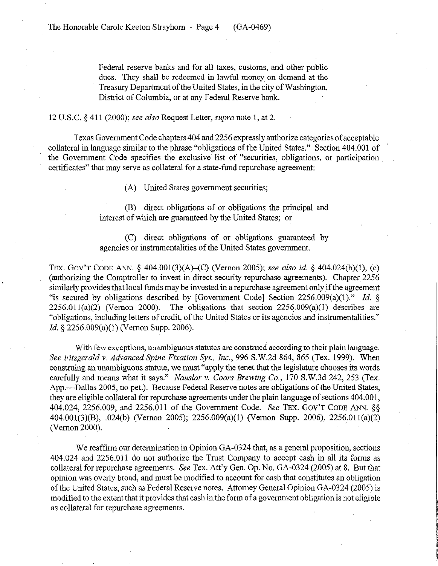Federal reserve banks and for all taxes, customs, and other public dues. They shall be redeemed in lawful money on demand at the Treasury Department of the United States, in the city of Washington, District of Columbia, or at any Federal Reserve bank.

1~2 U.S.C. 5 411 (2000); see *also* Request Letter, *sup-a* note 1, at 2.

Texas Government Code chapters 404 and 2256 expressly authorize categories of acceptable collateral in language similar to the phrase "obligations of the United States." Section 404.001 of the Government Code specifies the exclusive list of "securities, obligations, or participation certificates" that may serve as collateral for a state-fund repurchase agreement:

(A) United States government securities;

(B) direct obligations of or obligations the principal and interest of which are guaranteed by the United States; or

(C) direct obligations of or obligations guaranteed by agencies or instrumentalities of the United States government.

TEX. GOV'T CODE ANN. § 404.001(3)(A)–(C) (Vernon 2005); see also *id.* § 404.024(b)(1), (c) (authorizing the Comptroller to invest in direct security repurchase agreements). Chapter 2256 similarly provides that local funds may be invested in a repurchase agreement only if the agreement "is secured by obligations described by [Government Code] Section 2256.009(a)(l)." *Id. §*   $2256.011(a)(2)$  (Vernon 2000). The obligations that section  $2256.009(a)(1)$  describes are "obligations, including letters of credit, of the United States or its agencies and instrumentalities." *Id. § 2256.009(a)(l)* (Vernon Supp. 2006).

With few exceptions, unambiguous statutes are construed according to their plain language. *See Fitzgerald v. Advanced Spine Fixation* Sys., Inc., 996 S.W.2d 864, 865 (Tex. 1999). When construing an unambiguous statute, we must "apply the tenet that the legislature chooses its words carefully and means what it says." *Nauslar v. Coors Brewing Co.*, 170 S.W.3d 242, 253 (Tex. App.—Dallas 2005, no pet.). Because Federal Reserve notes are obligations of the United States, they are eligible collateral for repurchase agreements under the plain language of sections 404.001, 404.024, 2256.009, and 2256.011 of the Government Code. See TEX. GOV'T CODE ANN. 5s 404,001(3)(B), .024(b) (Vernon 2005); 2256.009(a)(l) (V emon Supp. 2006), 2256.01 l(a)(2) (Vernon 2000).

We reaffirm our determination in Opinion GA-0324 that, as a general proposition, sections 404.024 and 2256.011 do not authorize the Trust Company to accept cash in all its fotms as collateral for repurchase agreements. See Tex. Att'y Gen. Op. No. GA-0324 (2005) at 8. But that opinion was overly broad, and must be modified to account for cash that constitutes an obligation of the United States, such as Federal Reserve notes. Attorney General Opinion GA-0324 (2005) is modified to the extent that it provides that cash inthe fomr of a government obligation is not eligible as collateral for repurchase agreements.